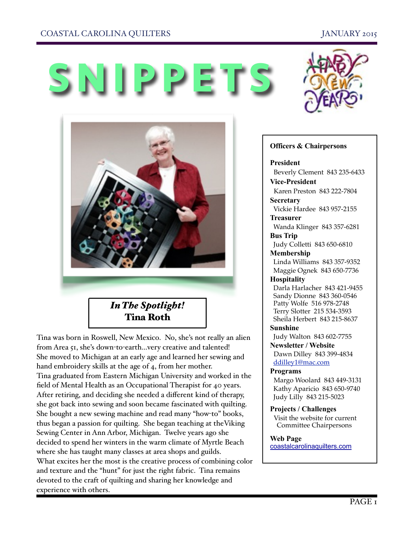### COASTAL CAROLINA QUILTERS JANUARY 2015





Tina was born in Roswell, New Mexico. No, she's not really an alien from Area 51, she's down-to-earth…very creative and talented! She moved to Michigan at an early age and learned her sewing and hand embroidery skills at the age of 4, from her mother. Tina graduated from Eastern Michigan University and worked in the field of Mental Health as an Occupational Therapist for 40 years. After retiring, and deciding she needed a different kind of therapy, she got back into sewing and soon became fascinated with quilting. She bought a new sewing machine and read many "how-to" books, thus began a passion for quilting. She began teaching at theViking Sewing Center in Ann Arbor, Michigan. Twelve years ago she decided to spend her winters in the warm climate of Myrtle Beach where she has taught many classes at area shops and guilds. What excites her the most is the creative process of combining color and texture and the "hunt" for just the right fabric. Tina remains devoted to the craft of quilting and sharing her knowledge and experience with others.



#### **Officers & Chairpersons**

#### **President**

Beverly Clement 843 235-6433

**Vice-President**  Karen Preston 843 222-7804 **Secretary** 

Vickie Hardee 843 957-2155

**Treasurer** 

 Wanda Klinger 843 357-6281 **Bus Trip** 

 Judy Colletti 843 650-6810 **Membership** 

 Linda Williams 843 357-9352 Maggie Ognek 843 650-7736

#### **Hospitality**

 Darla Harlacher 843 421-9455 Sandy Dionne 843 360-0546 Patty Wolfe 516 978-2748 Terry Slotter 215 534-3593 Sheila Herbert 843 215-8637

**Sunshine**  Judy Walton 843 602-7755

**Newsletter / Website** Dawn Dilley 843 399-4834 [ddilley1@mac.com](mailto:ddilley1@mac.com)

#### **Programs**

Margo Woolard 843 449-3131 Kathy Aparicio 843 650-9740 Judy Lilly 843 215-5023

**Projects / Challenges**  Visit the website for current Committee Chairpersons

#### **Web Page**

[coastalcarolinaquilters.com](http://coastalcarolinaquilters.com)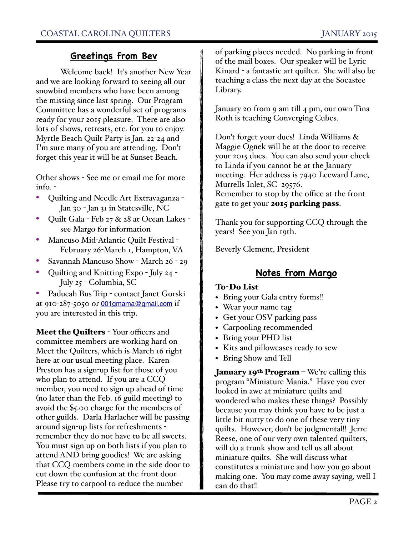# **Greetings from Bev**

Welcome back! It's another New Year and we are looking forward to seeing all our snowbird members who have been among the missing since last spring. Our Program Committee has a wonderful set of programs ready for your 2015 pleasure. There are also lots of shows, retreats, etc. for you to enjoy. Myrtle Beach Quilt Party is Jan. 22-24 and I'm sure many of you are attending. Don't forget this year it will be at Sunset Beach.

Other shows - See me or email me for more info. -

- Quilting and Needle Art Extravaganza Jan 30 - Jan 31 in Statesville, NC
- Quilt Gala Feb 27 & 28 at Ocean Lakes see Margo for information
- Mancuso Mid-Atlantic Quilt Festival February 26-March 1, Hampton, VA
- Savannah Mancuso Show March 26 29
- Quilting and Knitting Expo July 24 July 25 - Columbia, SC

• Paducah Bus Trip - contact Janet Gorski at 910-287-5050 or [001gmama@gmail.com](mailto:001gmama@gmail.com) if you are interested in this trip.

**Meet the Quilters** - Your officers and committee members are working hard on Meet the Quilters, which is March 16 right here at our usual meeting place. Karen Preston has a sign-up list for those of you who plan to attend. If you are a CCQ member, you need to sign up ahead of time (no later than the Feb. 16 guild meeting) to avoid the \$5.00 charge for the members of other guilds. Darla Harlacher will be passing around sign-up lists for refreshments remember they do not have to be all sweets. You must sign up on both lists if you plan to attend AND bring goodies! We are asking that CCQ members come in the side door to cut down the confusion at the front door. Please try to carpool to reduce the number

of parking places needed. No parking in front of the mail boxes. Our speaker will be Lyric Kinard - a fantastic art quilter. She will also be teaching a class the next day at the Socastee Library.

January 20 from 9 am till 4 pm, our own Tina Roth is teaching Converging Cubes.

Don't forget your dues! Linda Williams & Maggie Ognek will be at the door to receive your 2015 dues. You can also send your check to Linda if you cannot be at the January meeting. Her address is 7940 Leeward Lane, Murrells Inlet, SC 29576. Remember to stop by the office at the front gate to get your **2015 parking pass**.

Thank you for supporting CCQ through the years! See you Jan 19th.

Beverly Clement, President

# **Notes from Margo**

### To-Do List

- Bring your Gala entry forms!!
- Wear your name tag
- Get your OSV parking pass
- Carpooling recommended
- Bring your PHD list
- Kits and pillowcases ready to sew
- Bring Show and Tell

**January 19th Program** – We're calling this program "Miniature Mania." Have you ever looked in awe at miniature quilts and wondered who makes these things? Possibly because you may think you have to be just a little bit nutty to do one of these very tiny quilts. However, don't be judgmental!! Jerre Reese, one of our very own talented quilters, will do a trunk show and tell us all about miniature quilts. She will discuss what constitutes a miniature and how you go about making one. You may come away saying, well I can do that!!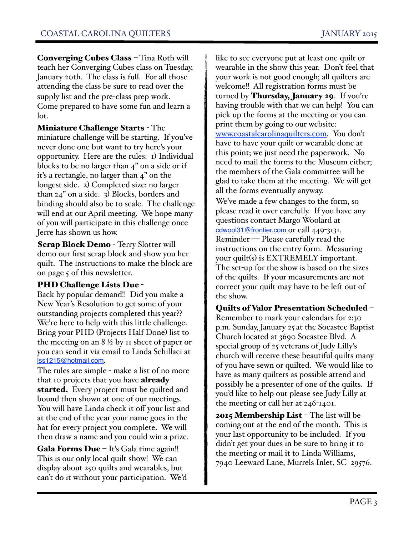Converging Cubes Class – Tina Roth will teach her Converging Cubes class on Tuesday, January 20th. The class is full. For all those attending the class be sure to read over the supply list and the pre-class prep work. Come prepared to have some fun and learn a lot.

Miniature Challenge Starts - The miniature challenge will be starting. If you've never done one but want to try here's your opportunity. Here are the rules: 1) Individual blocks to be no larger than 4" on a side or if it's a rectangle, no larger than 4" on the longest side. 2) Completed size: no larger than 24" on a side. 3) Blocks, borders and binding should also be to scale. The challenge will end at our April meeting. We hope many of you will participate in this challenge once Jerre has shown us how.

**Scrap Block Demo** - Terry Slotter will demo our first scrap block and show you her quilt. The instructions to make the block are on page 5 of this newsletter.

### PHD Challenge Lists Due -

Back by popular demand!! Did you make a New Year's Resolution to get some of your outstanding projects completed this year?? We're here to help with this little challenge. Bring your PHD (Projects Half Done) list to the meeting on an  $8\frac{1}{2}$  by 11 sheet of paper or you can send it via email to Linda Schillaci at [lss1215@hotmail.com.](mailto:lss1215@hotmail.com)

The rules are simple - make a list of no more that 10 projects that you have **already started.** Every project must be quilted and bound then shown at one of our meetings. You will have Linda check it off your list and at the end of the year your name goes in the hat for every project you complete. We will then draw a name and you could win a prize.

**Gala Forms Due**  $-$  It's Gala time again!! This is our only local quilt show! We can display about 250 quilts and wearables, but can't do it without your participation. We'd like to see everyone put at least one quilt or wearable in the show this year. Don't feel that your work is not good enough; all quilters are welcome!! All registration forms must be turned by **Thursday, January 29**. If you're having trouble with that we can help! You can pick up the forms at the meeting or you can print them by going to our website: [www.coastalcarolinaquilters.com](http://www.coastalcarolinaquilters.com/). You don't have to have your quilt or wearable done at this point; we just need the paperwork. No need to mail the forms to the Museum either; the members of the Gala committee will be glad to take them at the meeting. We will get all the forms eventually anyway.

We've made a few changes to the form, so please read it over carefully. If you have any questions contact Margo Woolard at [cdwool31@frontier.com](mailto:cdwool31@frontier.com) or call 449-3131. Reminder — Please carefully read the instructions on the entry form. Measuring your quilt(s) is EXTREMELY important. The set-up for the show is based on the sizes of the quilts. If your measurements are not correct your quilt may have to be left out of the show.

### Quilts of Valor Presentation Scheduled –

Remember to mark your calendars for 2:30 p.m. Sunday, January 25 at the Socastee Baptist Church located at 3690 Socastee Blvd. A special group of 25 veterans of Judy Lilly's church will receive these beautiful quilts many of you have sewn or quilted. We would like to have as many quilters as possible attend and possibly be a presenter of one of the quilts. If you'd like to help out please see Judy Lilly at the meeting or call her at 246-1401.

**2015 Membership List** – The list will be coming out at the end of the month. This is your last opportunity to be included. If you didn't get your dues in be sure to bring it to the meeting or mail it to Linda Williams, 7940 Leeward Lane, Murrels Inlet, SC 29576.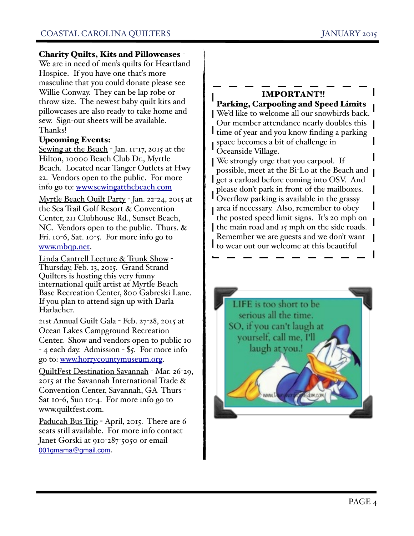### Charity Quilts, Kits and Pillowcases -

We are in need of men's quilts for Heartland Hospice. If you have one that's more masculine that you could donate please see Willie Conway. They can be lap robe or throw size. The newest baby quilt kits and pillowcases are also ready to take home and sew. Sign-out sheets will be available. Thanks!

### Upcoming Events:

Sewing at the Beach - Jan. II-17, 2015 at the Hilton, 10000 Beach Club Dr., Myrtle Beach. Located near Tanger Outlets at Hwy 22. Vendors open to the public. For more info go to: [www.sewingatthebeach.com](http://www.sewingatthebeach.com)

Myrtle Beach Quilt Party - Jan. 22-24, 2015 at the Sea Trail Golf Resort & Convention Center, 211 Clubhouse Rd., Sunset Beach, NC. Vendors open to the public. Thurs. & Fri. 10-6, Sat. 10-5. For more info go to [www.mbqp.net.](http://www.mbqp.net)

Linda Cantrell Lecture & Trunk Show - Thursday, Feb. 13, 2015. Grand Strand Quilters is hosting this very funny international quilt artist at Myrtle Beach Base Recreation Center, 800 Gabreski Lane. If you plan to attend sign up with Darla Harlacher.

21st Annual Guilt Gala - Feb. 27-28, 2015 at Ocean Lakes Campground Recreation Center. Show and vendors open to public 10 - 4 each day. Admission - \$5. For more info go to: [www.horrycountymuseum.org](http://www.horrycountymuseum.org).

QuiltFest Destination Savannah - Mar. 26-29, 2015 at the Savannah International Trade & Convention Center, Savannah, GA Thurs - Sat 10-6, Sun 10-4. For more info go to www.quiltfest.com.

Paducah Bus Trip - April, 2015. There are 6 seats still available. For more info contact Janet Gorski at 910-287-5050 or email [001gmama@gmail.com](mailto:001gmama@gmail.com).

### IMPORTANT!!

Parking, Carpooling and Speed Limits We'd like to welcome all our snowbirds back. Our member attendance nearly doubles this  $\parallel$ I time of year and you know finding a parking space becomes a bit of challenge in Oceanside Village.

We strongly urge that you carpool. If possible, meet at the Bi-Lo at the Beach and **get a carload before coming into OSV.** And please don't park in front of the mailboxes. Overflow parking is available in the grassy area if necessary. Also, remember to obey the posted speed limit signs. It's 20 mph on the main road and 15 mph on the side roads. Remember we are guests and we don't want I to wear out our welcome at this beautiful

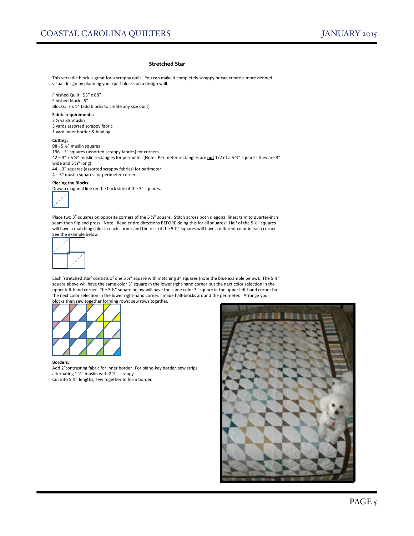#### **Stretched Star**

This versatile block is great for a scrappy quilt! You can make it completely scrappy or can create a more defined visual design by planning your quilt blocks on a design wall.

Finished Quilt: 53" x 88" Finished block: 5" Blocks: 7 x 14 (add blocks to create any size quilt)

#### **Fabric requirements:**

 $3$  % yards muslin

3 yards assorted scrappy fabric 1 yard inner border & binding

#### **Cutting:**

98 - 5 1/2" muslin squares 196 –  $3''$  squares (assorted scrappy fabrics) for corners 42 – 3" x 5 %" muslin rectangles for perimeter (Note: Perimeter rectangles are **not** 1/2 of a 5 %" square - they are 3" wide and  $5$  %" long)  $44 - 3''$  squares (assorted scrappy fabrics) for perimeter  $4 - 3"$  muslin squares for perimeter corners

#### Piecing the Blocks:

Draw a diagonal line on the back side of the 3" squares.



Place two 3" squares on opposite corners of the 5 %" square. Stitch across both diagonal lines; trim to quarter-inch seam then flip and press. Note: Read entire directions BEFORE doing this for all squares! Half of the 5 %" squares will have a matching color in each corner and the rest of the 5  $\frac{1}{2}$ " squares will have a different color in each corner. See the example below.



Each 'stretched star' consists of one 5 %" square with matching 3" squares (note the blue example below). The 5 %" square above will have the same color 3" square in the lower right-hand corner but the next color selection in the upper left-hand corner. The 5 %" square below will have the same color 3" square in the upper left-hand corner but the next color selection in the lower right-hand corner. I made half-blocks around the perimeter. Arrange your

blocks then sew together forming rows; sew rows together.



#### **Borders:**

Add 2"contrasting fabric for inner border. For piano-key border, sew strips alternating 1  $\frac{1}{2}$ " muslin with 2  $\frac{1}{2}$ " scrappy. Cut into 5  $\frac{1}{2}$ " lengths; sew together to form border.

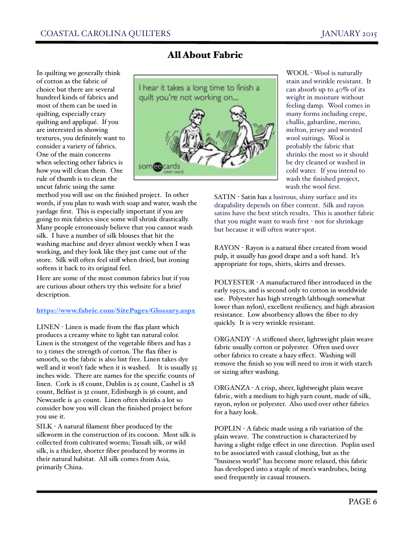In quilting we generally think of cotton as the fabric of choice but there are several hundred kinds of fabrics and most of them can be used in quilting, especially crazy quilting and appliqué. If you are interested in showing textures, you definitely want to consider a variety of fabrics. One of the main concerns when selecting other fabrics is how you will clean them. One rule of thumb is to clean the uncut fabric using the same

#### method you will use on the finished project. In other words, if you plan to wash with soap and water, wash the yardage first. This is especially important if you are going to mix fabrics since some will shrink drastically. Many people erroneously believe that you cannot wash silk. I have a number of silk blouses that hit the washing machine and dryer almost weekly when I was working, and they look like they just came out of the store. Silk will often feel stiff when dried, but ironing softens it back to its original feel.

Here are some of the most common fabrics but if you are curious about others try this website for a brief description.

#### <https://www.fabric.com/SitePages/Glossary.aspx>

LINEN - Linen is made from the flax plant which produces a creamy white to light tan natural color. Linen is the strongest of the vegetable fibers and has 2 to 3 times the strength of cotton. The flax fiber is smooth, so the fabric is also lint free. Linen takes dye well and it won't fade when it is washed. It is usually 55 inches wide. There are names for the specific counts of linen. Cork is 18 count, Dublin is 25 count, Cashel is 28 count, Belfast is 32 count, Edinburgh is 36 count, and Newcastle is 40 count. Linen often shrinks a lot so consider how you will clean the finished project before you use it.

SILK - A natural filament fiber produced by the silkworm in the construction of its cocoon. Most silk is collected from cultivated worms; Tussah silk, or wild silk, is a thicker, shorter fiber produced by worms in their natural habitat. All silk comes from Asia, primarily China.

# All About Fabric



WOOL - Wool is naturally stain and wrinkle resistant. It can absorb up to 40% of its weight in moisture without feeling damp. Wool comes in many forms including crepe, challis, gabardine, merino, melton, jersey and worsted wool suitings. Wool is probably the fabric that shrinks the most so it should be dry cleaned or washed in cold water. If you intend to wash the finished project, wash the wool first.

SATIN - Satin has a lustrous, shiny surface and its drapability depends on fiber content. Silk and rayon satins have the best stitch results. This is another fabric that you might want to wash first - not for shrinkage but because it will often water-spot.

RAYON - Rayon is a natural fiber created from wood pulp, it usually has good drape and a soft hand. It's appropriate for tops, shirts, skirts and dresses.

POLYESTER - A manufactured fiber introduced in the early 1950s, and is second only to cotton in worldwide use. Polyester has high strength (although somewhat lower than nylon), excellent resiliency, and high abrasion resistance. Low absorbency allows the fiber to dry quickly. It is very wrinkle resistant.

ORGANDY - A stiffened sheer, lightweight plain weave fabric usually cotton or polyester. Often used over other fabrics to create a hazy effect. Washing will remove the finish so you will need to iron it with starch or sizing after washing.

ORGANZA - A crisp, sheer, lightweight plain weave fabric, with a medium to high yarn count, made of silk, rayon, nylon or polyester. Also used over other fabrics for a hazy look.

POPLIN - A fabric made using a rib variation of the plain weave. The construction is characterized by having a slight ridge effect in one direction. Poplin used to be associated with casual clothing, but as the "business world" has become more relaxed, this fabric has developed into a staple of men's wardrobes, being used frequently in casual trousers.